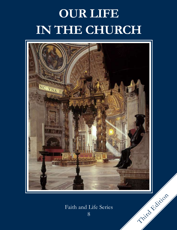# **OUR LIFE IN THE CHURCH**



## Faith and Life Series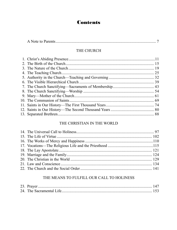## **Contents**

## THE CHURCH

## THE CHRISTIAN IN THE WORLD

## THE MEANS TO FULFILL OUR CALL TO HOLINESS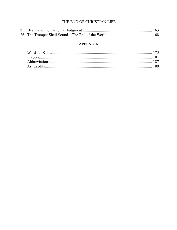## THE END OF CHRISTIAN LIFE

## **APPENDIX**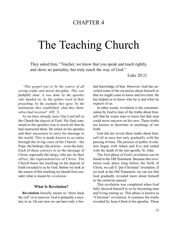## CHAPTER 4

## The Teaching Church

They asked him, "Teacher, we know that you speak and teach rightly, and show no partiality, but truly teach the way of God."

Luke 20:21

*"This gospel was to be the source of all saving truths and moral discipline. This was faithfully done: it was done by the apostles who handed on, by the spoken word of their preaching, by the example they gave, by the institutions they established, what they themselves had received" (DV, 7).*

As we have already seen, Our Lord left to the Church the *deposit of Faith*. His final command to the apostles was to teach all that he had instructed them. He relied on his apostles and their successors to carry his message to the world. This is made known to us today through the living voice of the Church—the Pope, the bishops, the priests—even the laity. Each of these conveys to us the message of Christ, especially the clergy, who are, by their office, the representatives of Christ. The Church bases her teaching on the deposit of Faith revealed to us by God. Before we look at the source of this teaching we should first consider what is meant by *revelation.*

#### **What Is Revelation?**

**Revelation** literally means to "draw back the veil" or to uncover. God is primarily a mystery to us. On our own we can have only a limited knowledge of him. However, God has unveiled some of the mysteries about himself so that we might come to know and love him. He has helped us to know who he is and what he expects of us.

In other words, revelation is the communication by God to man of the truths about himself that he wants man to know but that man could never uncover on his own. These truths are known as doctrines or teachings of our Faith.

God did not reveal these truths about himself all at once but only gradually with the passing of time. The process of public revelation began with Adam and Eve and ended with the death of the last apostle, St. John.

The first phase of God's revelation can be found in the Old Testament. Because this revelation took place long before the birth of Christ, we call it "pre-Christian" revelation. If we look at the Old Testament, we can see that God gradually revealed more about himself as the centuries passed.

This revelation was completed when God fully showed himself to us by becoming man and living among us. This phase is known as "Christian" revelation. It contains the truths revealed by Jesus Christ to his apostles. These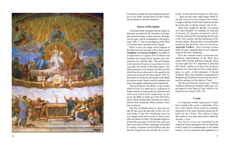

revelations include the most important myster ies of our Faith. Among them are the Trinity, the Incarnation, and the Eucharist.

#### **Source of Revelation**

"God graciously arranged that the things he had once revealed for the salvation of all peo ples should remain in their entirety, through out the ages, and be transmitted to all genera tions" (DV, 7). This sacred deposit of the Word of God has been entrusted to the Church.

There is only one single sacred deposit of the Word of God, but from it flow both Sacred **Tradition** and **Sacred Scripture**, the Bible. It is important to recognize that Tradition and Scripture are bound closely together and com municate one with the other. "Sacred Scripture is the speech of God as it is put down in writ ing under the breath of the Holy Spirit. Tradition transmits in its entirety the Word of God which has been entrusted to the apostles by Christ the Lord and the Holy Spirit" (DV, 9). By means of Tradition, the books of the Bible are known to the Church, and the Scriptures are more thoroughly understood and interpreted.

Sacred Scripture, the Bible, is the written Word of God. It is made up of a collection of books written at various times by different men who wrote under God's inspiration. As we know, the Bible is made up of the Old Testament, which contains pre-Christian revelation, and the New Testament, which contains Christian revelation.

The New Testament, however, does not con tain all that Jesus did and said. In fact, the various books of the New Testament were not even begun until some twenty or thirty years after the death of Christ. The apostles began to preach the message of Christ first, and only later were some of these teachings committed to writing. Scripture itself testifies to the fact that the Gospels do not include all of Jesus'

words. At the end of his Gospel, St. John says, ". . . there are also many other things which Je sus did; were every one of them to be written, I suppose that the world itself could not contain the books that would be written" (Jn 21:25).

What Jesus taught his apostles was passed on to their disciples. For example, St. Polycarp of Smyrna, St. Ignatius of Antioch, and St. Clement of Rome all lived during the last part of the first century and the beginning of the second century. Because they were personally taught by the apostles, they are known as **Apostolic Fathers**. Their writings contain some of Jesus' teachings that are not explicitly found in the New Testament.

Over the centuries many varied and contradictory interpretations of the Bible have arisen. Who had the authority to decide which was the right one? It is important to note that the Church—which, as we have seen was given authority by Christ (Mt 16:19) to settle all dis putes on earth—is the interpreter of Sacred Scripture. She is the custodian (or guardian) of Scripture and Tradition because she was promised the guidance of the Spirit of Truth.

The Second Vatican Council says, "Sacred Tradition and Sacred Scripture make up a sin gle deposit of the Word of God, which is en trusted to the Church" (DV, 10).

#### **Creeds**

An important written expression of Tradition is found in the *creeds*, or statements of belief, of the Church. These creeds are summary statements of the main doctrines proposed for belief by the Church. The earliest of these dates back to very early times and is called the *Apostles' Creed* .

The *Nicene Creed* was formulated at the council of Nicaea and approved in its final form at the Council of Constantinople in the fourth century. It is an expansion and explanation of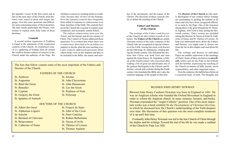the Apostles' Creed. In the first creed, and in fact in the early days of the Church, most doctrines were stated in plain and simple language. Over the years questions and difficulties arose concerning many of these doctrines. The later creeds, particularly the Nicene, were written to explain more fully some of these doctrines.

#### **Councils**

A second written expression of Tradition is found in the statements of the ecumenical councils of the Church. An ecumenical council is a gathering of bishops from all around the world to discuss matters of concern to the Church under the authority of the Pope. We call them *ecumenical*, meaning whole or worldwide, because they involve all the bishops. Over the centuries councils have frequently been called in response to controversies over basic doctrines of the Faith. The councils have given the Church the occasion to explain more completely and accurately certain beliefs.

The earliest controversies were over the Trinity and the human and divine natures of Christ. The Council of Nicaea addressed these questions. It is evident that when there was a controversy there had to be an arbiter (or umpire) to decide what the true teaching was. Later councils addressed questions about which books were in fact inspired and thus to be included in the Bible, the nature and num-

The lists that follow contain some of the most important of the Fathers and Doctors of the Church.

#### FATHERS OF THE CHURCH

#### St. Ambrose St. Jerome

- St. Augustine St. John Chrysostom
- St. Basil the Great St. John Damascene
- St. Benedict St. Leo the Great
- St. Cyprian St. Paulinus of Nola
- St. Gregory the Great St. Polycarp
- St. Ignatius of Antioch
	- DOCTORS OF THE CHURCH

#### St. Albert the Great St. Francis de Sales

- 
- 
- 
- 
- 

St. Alphonsus Liguori St. John of the Cross St. Anselm St. Peter Canisius St. Bernard of Clairvaux St. Robert Bellarmine St. Bonaventure St. Teresa of Avila

- St. Catherine of Siena St. Thérèse of Lisieux
	- St. Thomas Aquinas

ber of the sacraments, and the nature of the Church. The decisions of these councils clarify or define the teaching of the Church.

#### **Fathers and Doctors of the Church**

The writings of the *Fathers* and *Doctors* of the Church are also written records of witnesses. The **Fathers of the Church** are saintly Christian writers of the early centuries of the Church who are recognized as special witnesses of the Faith. Among the more well-known are the following: St. Athanasius, a bishop during the fourth century who defended the doctrine that Christ was both God and man against the Arian heresy; St. Augustine, a bishop of the fourth century who converted after leading a life of great sin and became one of the greatest theologians in the Church; and St. Jerome, a monk and a scholar during the fourth century who translated the Bible into Latin, the common language of the people at that time.

The **Doctors of the Church** are the saintly theologians of any century whose writings are outstanding in guiding the faithful at all times and who have been recognized officially as such by the Pope. One of the foremost among these is the great Dominican St. Thomas Aquinas, who lived in Italy during the thirteenth century. Three women are included among the Doctors: St. Teresa of Avila, St. Catherine of Siena, and St. Thérèse of Lisieux. To help you understand more about the Fathers and Doctors, you might want to choose one from the list in this chapter and read about his life.

The writings and decrees of individual Popes are another expression of the teachings of Christ. Some of these are known as **encyclicals**, letters sent by the Pope to the bishops and the faithful, expressing the teaching of the Church on matters of faith, morals, social responsibility, and other important topics.

Over the centuries, the faithful have believed a consistent body of truth. The thoughts and

#### BLESSED JOHN HENRY NEWMAN

Blessed John Henry Cardinal Newman was born in England in 1801. He was an Anglican scholar who founded the Oxford Movement in England in order to reform the Anglican church. In many sermons, lectures, and books, Newman expounded the "Anglo-Catholic" position. One of his most important works was a book entitled *On the Development of Christian Doctrine*, in which he discussed how the Church's understanding of her Faith deepens over time. His discussion of this question was the most complete treatment of it up until that time.

Eventually John Henry Newman was led to the true Church of Christ through his studies and his writings. Toward the end of his life he was made a cardinal of the Church by Pope Leo XIII.